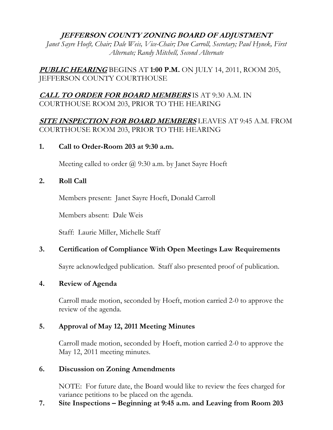## **JEFFERSON COUNTY ZONING BOARD OF ADJUSTMENT**

*Janet Sayre Hoeft, Chair; Dale Weis, Vice-Chair; Don Carroll, Secretary; Paul Hynek, First Alternate; Randy Mitchell, Second Alternate* 

**PUBLIC HEARING** BEGINS AT **1:00 P.M.** ON JULY 14, 2011, ROOM 205, JEFFERSON COUNTY COURTHOUSE

# **CALL TO ORDER FOR BOARD MEMBERS** IS AT 9:30 A.M. IN COURTHOUSE ROOM 203, PRIOR TO THE HEARING

**SITE INSPECTION FOR BOARD MEMBERS** LEAVES AT 9:45 A.M. FROM COURTHOUSE ROOM 203, PRIOR TO THE HEARING

#### **1. Call to Order-Room 203 at 9:30 a.m.**

Meeting called to order  $\omega$  9:30 a.m. by Janet Sayre Hoeft

#### **2. Roll Call**

Members present: Janet Sayre Hoeft, Donald Carroll

Members absent: Dale Weis

Staff: Laurie Miller, Michelle Staff

## **3. Certification of Compliance With Open Meetings Law Requirements**

Sayre acknowledged publication. Staff also presented proof of publication.

#### **4. Review of Agenda**

 Carroll made motion, seconded by Hoeft, motion carried 2-0 to approve the review of the agenda.

## **5. Approval of May 12, 2011 Meeting Minutes**

 Carroll made motion, seconded by Hoeft, motion carried 2-0 to approve the May 12, 2011 meeting minutes.

#### **6. Discussion on Zoning Amendments**

NOTE: For future date, the Board would like to review the fees charged for variance petitions to be placed on the agenda.

## **7. Site Inspections – Beginning at 9:45 a.m. and Leaving from Room 203**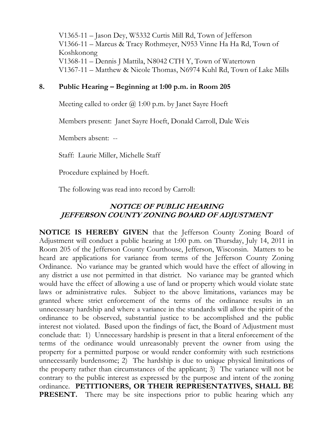V1365-11 – Jason Dey, W5332 Curtis Mill Rd, Town of Jefferson V1366-11 – Marcus & Tracy Rothmeyer, N953 Vinne Ha Ha Rd, Town of Koshkonong V1368-11 – Dennis J Mattila, N8042 CTH Y, Town of Watertown V1367-11 – Matthew & Nicole Thomas, N6974 Kuhl Rd, Town of Lake Mills

## **8. Public Hearing – Beginning at 1:00 p.m. in Room 205**

Meeting called to order  $\omega$  1:00 p.m. by Janet Sayre Hoeft

Members present: Janet Sayre Hoeft, Donald Carroll, Dale Weis

Members absent: --

Staff: Laurie Miller, Michelle Staff

Procedure explained by Hoeft.

The following was read into record by Carroll:

# **NOTICE OF PUBLIC HEARING JEFFERSON COUNTY ZONING BOARD OF ADJUSTMENT**

**NOTICE IS HEREBY GIVEN** that the Jefferson County Zoning Board of Adjustment will conduct a public hearing at 1:00 p.m. on Thursday, July 14, 2011 in Room 205 of the Jefferson County Courthouse, Jefferson, Wisconsin. Matters to be heard are applications for variance from terms of the Jefferson County Zoning Ordinance. No variance may be granted which would have the effect of allowing in any district a use not permitted in that district. No variance may be granted which would have the effect of allowing a use of land or property which would violate state laws or administrative rules. Subject to the above limitations, variances may be granted where strict enforcement of the terms of the ordinance results in an unnecessary hardship and where a variance in the standards will allow the spirit of the ordinance to be observed, substantial justice to be accomplished and the public interest not violated. Based upon the findings of fact, the Board of Adjustment must conclude that: 1) Unnecessary hardship is present in that a literal enforcement of the terms of the ordinance would unreasonably prevent the owner from using the property for a permitted purpose or would render conformity with such restrictions unnecessarily burdensome; 2) The hardship is due to unique physical limitations of the property rather than circumstances of the applicant; 3) The variance will not be contrary to the public interest as expressed by the purpose and intent of the zoning ordinance. **PETITIONERS, OR THEIR REPRESENTATIVES, SHALL BE PRESENT.** There may be site inspections prior to public hearing which any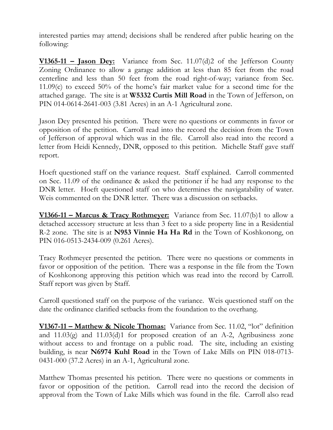interested parties may attend; decisions shall be rendered after public hearing on the following:

**V1365-11 – Jason Dey:** Variance from Sec. 11.07(d)2 of the Jefferson County Zoning Ordinance to allow a garage addition at less than 85 feet from the road centerline and less than 50 feet from the road right-of-way; variance from Sec. 11.09(c) to exceed 50% of the home's fair market value for a second time for the attached garage. The site is at **W5332 Curtis Mill Road** in the Town of Jefferson, on PIN 014-0614-2641-003 (3.81 Acres) in an A-1 Agricultural zone.

Jason Dey presented his petition. There were no questions or comments in favor or opposition of the petition. Carroll read into the record the decision from the Town of Jefferson of approval which was in the file. Carroll also read into the record a letter from Heidi Kennedy, DNR, opposed to this petition. Michelle Staff gave staff report.

Hoeft questioned staff on the variance request. Staff explained. Carroll commented on Sec. 11.09 of the ordinance & asked the petitioner if he had any response to the DNR letter. Hoeft questioned staff on who determines the navigatability of water. Weis commented on the DNR letter. There was a discussion on setbacks.

**V1366-11 – Marcus & Tracy Rothmeyer:** Variance from Sec. 11.07(b)1 to allow a detached accessory structure at less than 3 feet to a side property line in a Residential R-2 zone. The site is at **N953 Vinnie Ha Ha Rd** in the Town of Koshkonong, on PIN 016-0513-2434-009 (0.261 Acres).

Tracy Rothmeyer presented the petition. There were no questions or comments in favor or opposition of the petition. There was a response in the file from the Town of Koshkonong approving this petition which was read into the record by Carroll. Staff report was given by Staff.

Carroll questioned staff on the purpose of the variance. Weis questioned staff on the date the ordinance clarified setbacks from the foundation to the overhang.

**V1367-11 – Matthew & Nicole Thomas:** Variance from Sec. 11.02, "lot" definition and 11.03(g) and 11.03(d)1 for proposed creation of an A-2, Agribusiness zone without access to and frontage on a public road. The site, including an existing building, is near **N6974 Kuhl Road** in the Town of Lake Mills on PIN 018-0713- 0431-000 (37.2 Acres) in an A-1, Agricultural zone.

Matthew Thomas presented his petition. There were no questions or comments in favor or opposition of the petition. Carroll read into the record the decision of approval from the Town of Lake Mills which was found in the file. Carroll also read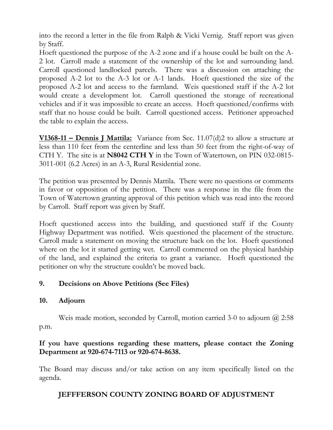into the record a letter in the file from Ralph & Vicki Vernig. Staff report was given by Staff.

Hoeft questioned the purpose of the A-2 zone and if a house could be built on the A-2 lot. Carroll made a statement of the ownership of the lot and surrounding land. Carroll questioned landlocked parcels. There was a discussion on attaching the proposed A-2 lot to the A-3 lot or A-1 lands. Hoeft questioned the size of the proposed A-2 lot and access to the farmland. Weis questioned staff if the A-2 lot would create a development lot. Carroll questioned the storage of recreational vehicles and if it was impossible to create an access. Hoeft questioned/confirms with staff that no house could be built. Carroll questioned access. Petitioner approached the table to explain the access.

**V1368-11 – Dennis J Mattila:** Variance from Sec. 11.07(d)2 to allow a structure at less than 110 feet from the centerline and less than 50 feet from the right-of-way of CTH Y. The site is at **N8042 CTH Y** in the Town of Watertown, on PIN 032-0815- 3011-001 (6.2 Acres) in an A-3, Rural Residential zone.

The petition was presented by Dennis Mattila. There were no questions or comments in favor or opposition of the petition. There was a response in the file from the Town of Watertown granting approval of this petition which was read into the record by Carroll. Staff report was given by Staff.

Hoeft questioned access into the building, and questioned staff if the County Highway Department was notified. Weis questioned the placement of the structure. Carroll made a statement on moving the structure back on the lot. Hoeft questioned where on the lot it started getting wet. Carroll commented on the physical hardship of the land, and explained the criteria to grant a variance. Hoeft questioned the petitioner on why the structure couldn't be moved back.

## **9. Decisions on Above Petitions (See Files)**

## **10. Adjourn**

Weis made motion, seconded by Carroll, motion carried 3-0 to adjourn @ 2:58 p.m.

## **If you have questions regarding these matters, please contact the Zoning Department at 920-674-7113 or 920-674-8638.**

The Board may discuss and/or take action on any item specifically listed on the agenda.

# **JEFFFERSON COUNTY ZONING BOARD OF ADJUSTMENT**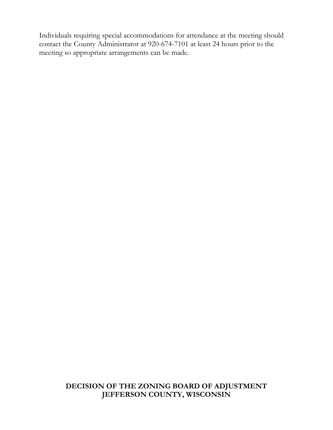Individuals requiring special accommodations for attendance at the meeting should contact the County Administrator at 920-674-7101 at least 24 hours prior to the meeting so appropriate arrangements can be made.

### **DECISION OF THE ZONING BOARD OF ADJUSTMENT JEFFERSON COUNTY, WISCONSIN**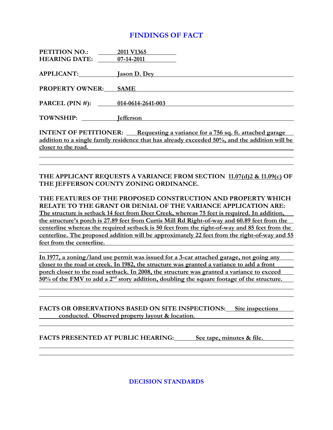#### **FINDINGS OF FACT**

| PETITION NO.: 2011 V1365 |                                                                                               |
|--------------------------|-----------------------------------------------------------------------------------------------|
|                          | <b>HEARING DATE:</b> 07-14-2011                                                               |
|                          | APPLICANT: Jason D. Dey                                                                       |
| <b>PROPERTY OWNER:</b>   | <b>SAME</b>                                                                                   |
|                          |                                                                                               |
|                          | PARCEL (PIN #): 014-0614-2641-003                                                             |
|                          | TOWNSHIP: lefferson                                                                           |
|                          | <b>INTENT OF PETITIONER:</b> Requesting a variance for a 756 sq. ft. attached garage          |
|                          | addition to a single family residence that has already exceeded 50%, and the addition will be |
|                          | closer to the road.                                                                           |
|                          |                                                                                               |
|                          |                                                                                               |
|                          | THE APPLICANT REQUESTS A VARIANCE FROM SECTION 11.07(d)2 & 11.09(c) OF                        |

**THE JEFFERSON COUNTY ZONING ORDINANCE. THE FEATURES OF THE PROPOSED CONSTRUCTION AND PROPERTY WHICH RELATE TO THE GRANT OR DENIAL OF THE VARIANCE APPLICATION ARE: The structure is setback 14 feet from Deer Creek, whereas 75 feet is required. In addition, the structure's porch is 27.89 feet from Curtis Mill Rd Right-of-way and 60.89 feet from the centerline whereas the required setback is 50 feet from the right-of-way and 85 feet from the** 

**centerline. The proposed addition will be approximately 22 feet from the right-of-way and 55 feet from the centerline. \_\_\_\_\_\_\_\_\_\_\_\_\_\_\_\_\_\_\_\_\_\_\_\_\_\_\_\_\_\_\_\_\_\_\_\_\_\_\_\_\_\_\_\_\_\_\_\_\_\_\_\_\_\_\_\_\_\_\_\_\_\_\_\_\_\_\_\_\_\_\_\_\_\_\_\_\_\_**

**In 1977, a zoning/land use permit was issued for a 3-car attached garage, not going any closer to the road or creek. In 1982, the structure was granted a variance to add a front porch closer to the road setback. In 2008, the structure was granted a variance to exceed 50% of the FMV to add a 2nd story addition, doubling the square footage of the structure.** 

**FACTS OR OBSERVATIONS BASED ON SITE INSPECTIONS: Site inspections conducted. Observed property layout & location.** 

FACTS PRESENTED AT PUBLIC HEARING: See tape, minutes & file.

**DECISION STANDARDS**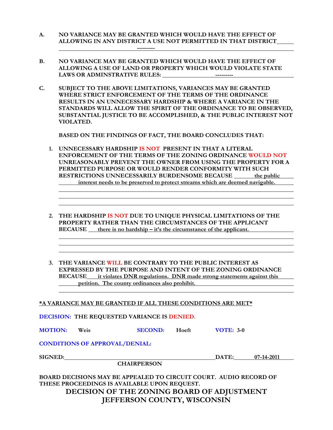- **A. NO VARIANCE MAY BE GRANTED WHICH WOULD HAVE THE EFFECT OF ALLOWING IN ANY DISTRICT A USE NOT PERMITTED IN THAT DISTRICT ---------**
- **B. NO VARIANCE MAY BE GRANTED WHICH WOULD HAVE THE EFFECT OF ALLOWING A USE OF LAND OR PROPERTY WHICH WOULD VIOLATE STATE LAWS OR ADMINSTRATIVE RULES: ---------**
- **C. SUBJECT TO THE ABOVE LIMITATIONS, VARIANCES MAY BE GRANTED WHERE STRICT ENFORCEMENT OF THE TERMS OF THE ORDINANCE RESULTS IN AN UNNECESSARY HARDSHIP & WHERE A VARIANCE IN THE STANDARDS WILL ALLOW THE SPIRIT OF THE ORDINANCE TO BE OBSERVED, SUBSTANTIAL JUSTICE TO BE ACCOMPLISHED, & THE PUBLIC INTEREST NOT VIOLATED.**

 **BASED ON THE FINDINGS OF FACT, THE BOARD CONCLUDES THAT:** 

- **1. UNNECESSARY HARDSHIP IS NOT PRESENT IN THAT A LITERAL ENFORCEMENT OF THE TERMS OF THE ZONING ORDINANCE WOULD NOT UNREASONABLY PREVENT THE OWNER FROM USING THE PROPERTY FOR A PERMITTED PURPOSE OR WOULD RENDER CONFORMITY WITH SUCH RESTRICTIONS UNNECESSARILY BURDENSOME BECAUSE the public interest needs to be preserved to protect streams which are deemed navigable.**
- **2. THE HARDSHIP IS NOT DUE TO UNIQUE PHYSICAL LIMITATIONS OF THE PROPERTY RATHER THAN THE CIRCUMSTANCES OF THE APPLICANT BECAUSE** there is no hardship – it's the circumstance of the applicant.
- **3. THE VARIANCE WILL BE CONTRARY TO THE PUBLIC INTEREST AS EXPRESSED BY THE PURPOSE AND INTENT OF THE ZONING ORDINANCE BECAUSE it violates DNR regulations. DNR made strong statements against this petition. The county ordinances also prohibit.**

#### **\*A VARIANCE MAY BE GRANTED IF ALL THESE CONDITIONS ARE MET\***

**DECISION: THE REQUESTED VARIANCE IS DENIED.** 

**MOTION:** Weis **SECOND:** Hoeft **VOTE: 3-0** 

**CONDITIONS OF APPROVAL/DENIAL:** 

| <b>SIGNED:</b> |  |
|----------------|--|
|                |  |

 **CHAIRPERSON** 

**BOARD DECISIONS MAY BE APPEALED TO CIRCUIT COURT. AUDIO RECORD OF THESE PROCEEDINGS IS AVAILABLE UPON REQUEST. DECISION OF THE ZONING BOARD OF ADJUSTMENT JEFFERSON COUNTY, WISCONSIN** 

**DATE:** 07-14-2011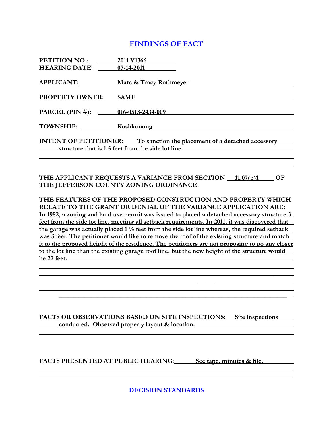#### **FINDINGS OF FACT**

| PETITION NO.: 2011 V1366          |                                                                                                                                      |
|-----------------------------------|--------------------------------------------------------------------------------------------------------------------------------------|
| <b>HEARING DATE:</b> 07-14-2011   |                                                                                                                                      |
|                                   | APPLICANT: Marc & Tracy Rothmeyer                                                                                                    |
| <b>PROPERTY OWNER: SAME</b>       |                                                                                                                                      |
| PARCEL (PIN #): 016-0513-2434-009 |                                                                                                                                      |
|                                   | TOWNSHIP: Koshkonong Manual Manual Manual Manual Manual Manual Manual Manual Manual Manual Manual Manual Manua                       |
|                                   | <b>INTENT OF PETITIONER:</b> To sanction the placement of a detached accessory<br>structure that is 1.5 feet from the side lot line. |
|                                   |                                                                                                                                      |
|                                   |                                                                                                                                      |
|                                   | THE APPLICANT REQUESTS A VARIANCE FROM SECTION 11.07(b)1<br>OF                                                                       |

**THE FEATURES OF THE PROPOSED CONSTRUCTION AND PROPERTY WHICH RELATE TO THE GRANT OR DENIAL OF THE VARIANCE APPLICATION ARE: In 1982, a zoning and land use permit was issued to placed a detached accessory structure 3 feet from the side lot line, meeting all setback requirements. In 2011, it was discovered that the garage was actually placed 1 ½ feet from the side lot line whereas, the required setback was 3 feet. The petitioner would like to remove the roof of the existing structure and match it to the proposed height of the residence. The petitioners are not proposing to go any closer to the lot line than the existing garage roof line, but the new height of the structure would be 22 feet.** 

 **\_\_\_\_\_\_**

**THE JEFFERSON COUNTY ZONING ORDINANCE.** 

**FACTS OR OBSERVATIONS BASED ON SITE INSPECTIONS: Site inspections conducted. Observed property layout & location. conducted. Observed property layout & location.** 

 **\_\_\_\_\_\_\_\_\_\_\_\_\_\_\_\_\_\_\_\_\_\_\_\_\_\_\_\_\_\_\_\_\_\_\_\_\_\_\_\_\_\_\_\_\_\_\_\_\_\_\_\_\_\_\_\_\_\_\_\_\_\_\_\_\_\_\_\_\_\_** 

FACTS PRESENTED AT PUBLIC HEARING: See tape, minutes & file.

**DECISION STANDARDS**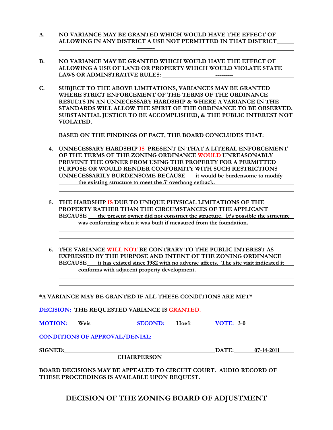**A. NO VARIANCE MAY BE GRANTED WHICH WOULD HAVE THE EFFECT OF ALLOWING IN ANY DISTRICT A USE NOT PERMITTED IN THAT DISTRICT** 

 **---------** 

- **B. NO VARIANCE MAY BE GRANTED WHICH WOULD HAVE THE EFFECT OF ALLOWING A USE OF LAND OR PROPERTY WHICH WOULD VIOLATE STATE LAWS OR ADMINSTRATIVE RULES: ---------**
- **C. SUBJECT TO THE ABOVE LIMITATIONS, VARIANCES MAY BE GRANTED WHERE STRICT ENFORCEMENT OF THE TERMS OF THE ORDINANCE RESULTS IN AN UNNECESSARY HARDSHIP & WHERE A VARIANCE IN THE STANDARDS WILL ALLOW THE SPIRIT OF THE ORDINANCE TO BE OBSERVED, SUBSTANTIAL JUSTICE TO BE ACCOMPLISHED, & THE PUBLIC INTEREST NOT VIOLATED.**

 **BASED ON THE FINDINGS OF FACT, THE BOARD CONCLUDES THAT:** 

- **4. UNNECESSARY HARDSHIP IS PRESENT IN THAT A LITERAL ENFORCEMENT OF THE TERMS OF THE ZONING ORDINANCE WOULD UNREASONABLY PREVENT THE OWNER FROM USING THE PROPERTY FOR A PERMITTED PURPOSE OR WOULD RENDER CONFORMITY WITH SUCH RESTRICTIONS UNNECESSARILY BURDENSOME BECAUSE \_\_ it would be burdensome to modify the existing structure to meet the 3' overhang setback.**
- **5. THE HARDSHIP IS DUE TO UNIQUE PHYSICAL LIMITATIONS OF THE PROPERTY RATHER THAN THE CIRCUMSTANCES OF THE APPLICANT BECAUSE the present owner did not construct the structure. It's possible the structure was conforming when it was built if measured from the foundation.**
- **6. THE VARIANCE WILL NOT BE CONTRARY TO THE PUBLIC INTEREST AS EXPRESSED BY THE PURPOSE AND INTENT OF THE ZONING ORDINANCE BECAUSE it has existed since 1982 with no adverse affects. The site visit indicated it conforms with adjacent property development.**

**\*A VARIANCE MAY BE GRANTED IF ALL THESE CONDITIONS ARE MET\***

**DECISION: THE REQUESTED VARIANCE IS GRANTED.** 

| <b>MOTION:</b> | <b>Weis</b> | <b>SECOND:</b> | Hoeft | <b>VOTE: 3-0</b> |
|----------------|-------------|----------------|-------|------------------|
|----------------|-------------|----------------|-------|------------------|

**CONDITIONS OF APPROVAL/DENIAL:** 

 **CHAIRPERSON** 

**SIGNED: DATE: 07-14-2011** 

**BOARD DECISIONS MAY BE APPEALED TO CIRCUIT COURT. AUDIO RECORD OF THESE PROCEEDINGS IS AVAILABLE UPON REQUEST.** 

**DECISION OF THE ZONING BOARD OF ADJUSTMENT**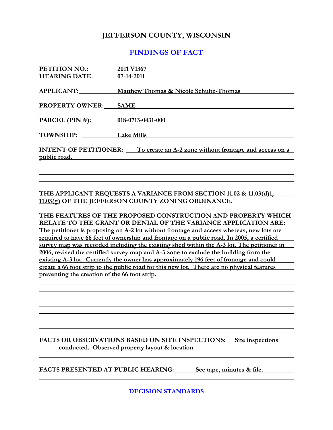### **JEFFERSON COUNTY, WISCONSIN**

#### **FINDINGS OF FACT**

| PETITION NO.: 2011 V1367<br><b>HEARING DATE:</b> 07-14-2011                                                                                                                                                                   |                                                          |  |
|-------------------------------------------------------------------------------------------------------------------------------------------------------------------------------------------------------------------------------|----------------------------------------------------------|--|
|                                                                                                                                                                                                                               |                                                          |  |
|                                                                                                                                                                                                                               | <b>APPLICANT:</b> Matthew Thomas & Nicole Schultz-Thomas |  |
| <b>PROPERTY OWNER: SAME</b>                                                                                                                                                                                                   |                                                          |  |
| PARCEL (PIN #): 018-0713-0431-000                                                                                                                                                                                             |                                                          |  |
| TOWNSHIP: Lake Mills                                                                                                                                                                                                          |                                                          |  |
| <b>INTENT OF PETITIONER:</b> To create an A-2 zone without frontage and access on a<br>public road.<br><u> 1989 - Johann Stoff, deutscher Stoffen und der Stoffen und der Stoffen und der Stoffen und der Stoffen und der</u> |                                                          |  |
|                                                                                                                                                                                                                               |                                                          |  |

#### **THE APPLICANT REQUESTS A VARIANCE FROM SECTION 11.02 & 11.03(d)1, 11.03(g) OF THE JEFFERSON COUNTY ZONING ORDINANCE.**

**THE FEATURES OF THE PROPOSED CONSTRUCTION AND PROPERTY WHICH RELATE TO THE GRANT OR DENIAL OF THE VARIANCE APPLICATION ARE: The petitioner is proposing an A-2 lot without frontage and access whereas, new lots are required to have 66 feet of ownership and frontage on a public road. In 2005, a certified survey map was recorded including the existing shed within the A-3 lot. The petitioner in 2006, revised the certified survey map and A-3 zone to exclude the building from the existing A-3 lot. Currently the owner has approximately 196 feet of frontage and could create a 66 foot strip to the public road for this new lot. There are no physical features preventing the creation of the 66 foot strip.** 

#### **FACTS OR OBSERVATIONS BASED ON SITE INSPECTIONS: Site inspections conducted. Observed property layout & location.**

FACTS PRESENTED AT PUBLIC HEARING: See tape, minutes & file.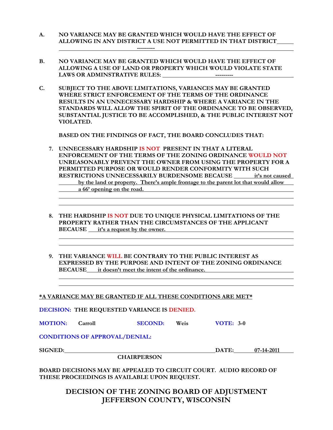- **A. NO VARIANCE MAY BE GRANTED WHICH WOULD HAVE THE EFFECT OF ALLOWING IN ANY DISTRICT A USE NOT PERMITTED IN THAT DISTRICT ---------**
- **B. NO VARIANCE MAY BE GRANTED WHICH WOULD HAVE THE EFFECT OF ALLOWING A USE OF LAND OR PROPERTY WHICH WOULD VIOLATE STATE LAWS OR ADMINSTRATIVE RULES: ---------**
- **C. SUBJECT TO THE ABOVE LIMITATIONS, VARIANCES MAY BE GRANTED WHERE STRICT ENFORCEMENT OF THE TERMS OF THE ORDINANCE RESULTS IN AN UNNECESSARY HARDSHIP & WHERE A VARIANCE IN THE STANDARDS WILL ALLOW THE SPIRIT OF THE ORDINANCE TO BE OBSERVED, SUBSTANTIAL JUSTICE TO BE ACCOMPLISHED, & THE PUBLIC INTEREST NOT VIOLATED.**

 **BASED ON THE FINDINGS OF FACT, THE BOARD CONCLUDES THAT:** 

- **7. UNNECESSARY HARDSHIP IS NOT PRESENT IN THAT A LITERAL ENFORCEMENT OF THE TERMS OF THE ZONING ORDINANCE WOULD NOT UNREASONABLY PREVENT THE OWNER FROM USING THE PROPERTY FOR A PERMITTED PURPOSE OR WOULD RENDER CONFORMITY WITH SUCH RESTRICTIONS UNNECESSARILY BURDENSOME BECAUSE it's not caused by the land or property. There's ample frontage to the parent lot that would allow a 66' opening on the road.**
- **8. THE HARDSHIP IS NOT DUE TO UNIQUE PHYSICAL LIMITATIONS OF THE PROPERTY RATHER THAN THE CIRCUMSTANCES OF THE APPLICANT BECAUSE it's a request by the owner.**
- **9. THE VARIANCE WILL BE CONTRARY TO THE PUBLIC INTEREST AS EXPRESSED BY THE PURPOSE AND INTENT OF THE ZONING ORDINANCE BECAUSE it doesn't meet the intent of the ordinance.**

**\*A VARIANCE MAY BE GRANTED IF ALL THESE CONDITIONS ARE MET\***

**DECISION: THE REQUESTED VARIANCE IS DENIED.** 

| <b>MOTION:</b> | Carroll | <b>SECOND:</b> | Weis | <b>VOTE: 3-0</b> |
|----------------|---------|----------------|------|------------------|
|----------------|---------|----------------|------|------------------|

**CONDITIONS OF APPROVAL/DENIAL:** 

 **CHAIRPERSON** 

**SIGNED: DATE: 07-14-2011** 

**BOARD DECISIONS MAY BE APPEALED TO CIRCUIT COURT. AUDIO RECORD OF THESE PROCEEDINGS IS AVAILABLE UPON REQUEST.** 

#### **DECISION OF THE ZONING BOARD OF ADJUSTMENT JEFFERSON COUNTY, WISCONSIN**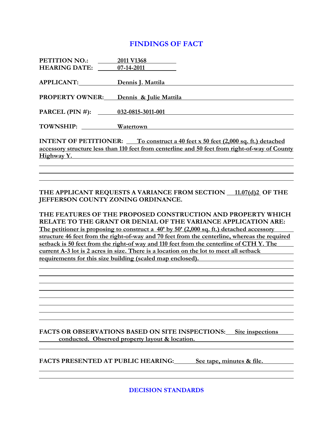## **FINDINGS OF FACT**

| PETITION NO.:                     | 2011 V1368                                                                                                                                                                                             |
|-----------------------------------|--------------------------------------------------------------------------------------------------------------------------------------------------------------------------------------------------------|
| <b>HEARING DATE:</b> 07-14-2011   |                                                                                                                                                                                                        |
| APPLICANT:                        | Dennis J. Mattila                                                                                                                                                                                      |
|                                   | PROPERTY OWNER: Dennis & Julie Mattila                                                                                                                                                                 |
| PARCEL (PIN #): 032-0815-3011-001 |                                                                                                                                                                                                        |
| TOWNSHIP: Watertown               |                                                                                                                                                                                                        |
|                                   | INTENT OF PETITIONER: To construct a 40 feet x 50 feet (2,000 sq. ft.) detached<br>accessory structure less than 110 feet from centerline and 50 feet from right-of-way of County<br><u>Highway Y.</u> |
|                                   |                                                                                                                                                                                                        |
|                                   |                                                                                                                                                                                                        |
|                                   |                                                                                                                                                                                                        |

#### THE APPLICANT REQUESTS A VARIANCE FROM SECTION 11.07(d)2 OF THE **JEFFERSON COUNTY ZONING ORDINANCE.**

**THE FEATURES OF THE PROPOSED CONSTRUCTION AND PROPERTY WHICH RELATE TO THE GRANT OR DENIAL OF THE VARIANCE APPLICATION ARE: The petitioner is proposing to construct a 40' by 50' (2,000 sq. ft.) detached accessory structure 46 feet from the right-of-way and 70 feet from the centerline, whereas the required setback is 50 feet from the right-of way and 110 feet from the centerline of CTH Y. The current A-3 lot is 2 acres in size. There is a location on the lot to meet all setback requirements for this size building (scaled map enclosed).** 

#### **FACTS OR OBSERVATIONS BASED ON SITE INSPECTIONS: Site inspections**  *conducted.* **Observed property layout & location. <b>***conducted.* Observed property layout & location.

FACTS PRESENTED AT PUBLIC HEARING: See tape, minutes & file.

**DECISION STANDARDS**